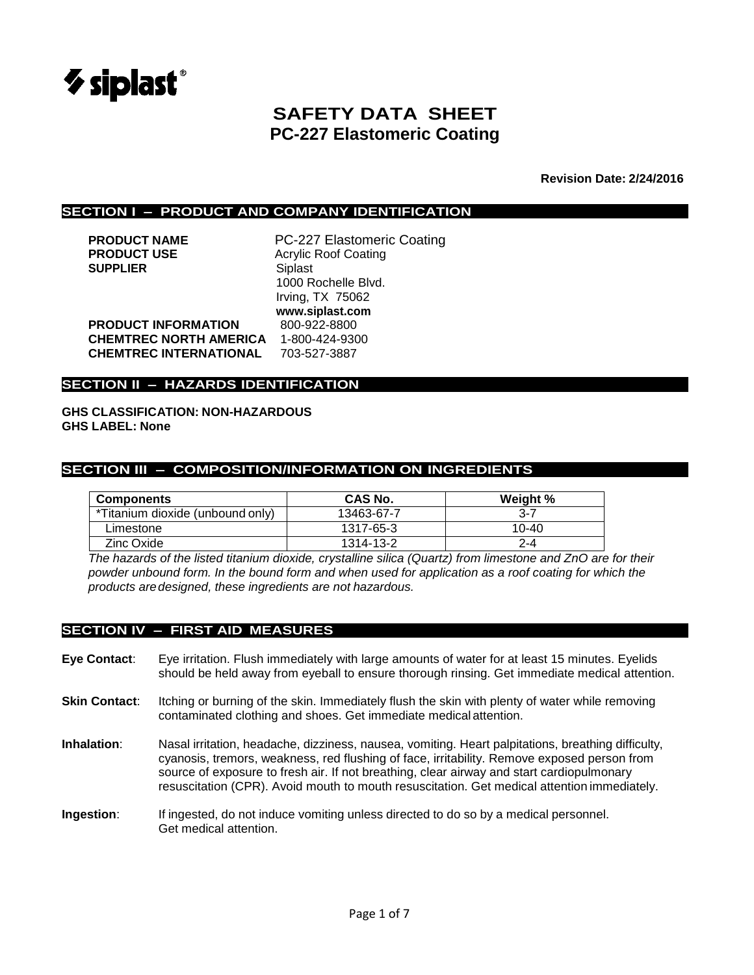

# **SAFETY DATA SHEET PC-227 Elastomeric Coating**

**Revision Date: 2/24/2016**

#### **SECTION I – PRODUCT AND COMPANY IDENTIFICATION**

| <b>PRODUCT NAME</b>           | PC-227 Elastomeric Coating  |
|-------------------------------|-----------------------------|
| <b>PRODUCT USE</b>            | <b>Acrylic Roof Coating</b> |
| <b>SUPPLIER</b>               | Siplast                     |
|                               | 1000 Rochelle Blvd.         |
|                               | Irving, TX 75062            |
|                               | www.siplast.com             |
| <b>PRODUCT INFORMATION</b>    | 800-922-8800                |
| <b>CHEMTREC NORTH AMERICA</b> | 1-800-424-9300              |
| <b>CHEMTREC INTERNATIONAL</b> | 703-527-3887                |
|                               |                             |

#### **SECTION II – HAZARDS IDENTIFICATION**

**GHS CLASSIFICATION: NON-HAZARDOUS GHS LABEL: None**

#### **SECTION III – COMPOSITION/INFORMATION ON INGREDIENTS**

| <b>Components</b>                | CAS No.    | Weight %  |
|----------------------------------|------------|-----------|
| *Titanium dioxide (unbound only) | 13463-67-7 | $3 - 7$   |
| Limestone                        | 1317-65-3  | $10 - 40$ |
| Zinc Oxide                       | 1314-13-2  | $2 - 4$   |

*The hazards of the listed titanium dioxide, crystalline silica (Quartz) from limestone and ZnO are for their powder unbound form. In the bound form and when used for application as a roof coating for which the products aredesigned, these ingredients are not hazardous.*

#### **SECTION IV – FIRST AID MEASURES**

- **Eye Contact**: Eye irritation. Flush immediately with large amounts of water for at least 15 minutes. Eyelids should be held away from eyeball to ensure thorough rinsing. Get immediate medical attention.
- **Skin Contact:** Itching or burning of the skin. Immediately flush the skin with plenty of water while removing contaminated clothing and shoes. Get immediate medical attention.
- **Inhalation**: Nasal irritation, headache, dizziness, nausea, vomiting. Heart palpitations, breathing difficulty, cyanosis, tremors, weakness, red flushing of face, irritability. Remove exposed person from source of exposure to fresh air. If not breathing, clear airway and start cardiopulmonary resuscitation (CPR). Avoid mouth to mouth resuscitation. Get medical attention immediately.
- **Ingestion**: If ingested, do not induce vomiting unless directed to do so by a medical personnel. Get medical attention.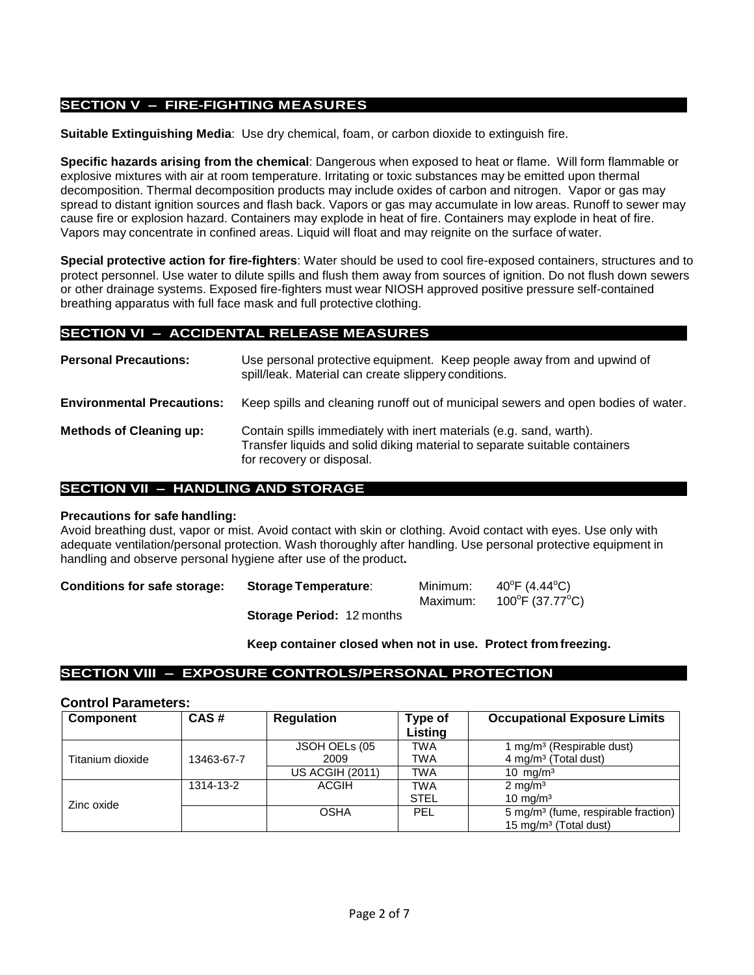### **SECTION V – FIRE-FIGHTING MEASURES**

**Suitable Extinguishing Media**: Use dry chemical, foam, or carbon dioxide to extinguish fire.

**Specific hazards arising from the chemical**: Dangerous when exposed to heat or flame. Will form flammable or explosive mixtures with air at room temperature. Irritating or toxic substances may be emitted upon thermal decomposition. Thermal decomposition products may include oxides of carbon and nitrogen. Vapor or gas may spread to distant ignition sources and flash back. Vapors or gas may accumulate in low areas. Runoff to sewer may cause fire or explosion hazard. Containers may explode in heat of fire. Containers may explode in heat of fire. Vapors may concentrate in confined areas. Liquid will float and may reignite on the surface of water.

**Special protective action for fire-fighters**: Water should be used to cool fire-exposed containers, structures and to protect personnel. Use water to dilute spills and flush them away from sources of ignition. Do not flush down sewers or other drainage systems. Exposed fire-fighters must wear NIOSH approved positive pressure self-contained breathing apparatus with full face mask and full protective clothing.

#### **SECTION VI – ACCIDENTAL RELEASE MEASURES**

| <b>Personal Precautions:</b>      | Use personal protective equipment. Keep people away from and upwind of<br>spill/leak. Material can create slippery conditions.                                                 |
|-----------------------------------|--------------------------------------------------------------------------------------------------------------------------------------------------------------------------------|
| <b>Environmental Precautions:</b> | Keep spills and cleaning runoff out of municipal sewers and open bodies of water.                                                                                              |
| <b>Methods of Cleaning up:</b>    | Contain spills immediately with inert materials (e.g. sand, warth).<br>Transfer liquids and solid diking material to separate suitable containers<br>for recovery or disposal. |

#### **SECTION VII – HANDLING AND STORAGE**

#### **Precautions for safe handling:**

Avoid breathing dust, vapor or mist. Avoid contact with skin or clothing. Avoid contact with eyes. Use only with adequate ventilation/personal protection. Wash thoroughly after handling. Use personal protective equipment in handling and observe personal hygiene after use of the product**.**

| <b>Conditions for safe storage:</b> | <b>Storage Temperature:</b> | Minimum:<br>Maximum: | 40°F (4.44°C)<br>100°F (37.77°C) |
|-------------------------------------|-----------------------------|----------------------|----------------------------------|
|                                     |                             |                      |                                  |

**Storage Period:** 12 months

**Keep container closed when not in use. Protect from freezing.**

# **SECTION VIII – EXPOSURE CONTROLS/PERSONAL PROTECTION**

#### **Control Parameters:**

| Component        | CAS#       | <b>Regulation</b>      | Type of     | <b>Occupational Exposure Limits</b>             |
|------------------|------------|------------------------|-------------|-------------------------------------------------|
|                  |            |                        | Listing     |                                                 |
|                  |            | JSOH OELs (05          | TWA         | 1 mg/m <sup>3</sup> (Respirable dust)           |
| Titanium dioxide | 13463-67-7 | 2009                   | TWA         | 4 mg/m <sup>3</sup> (Total dust)                |
|                  |            | <b>US ACGIH (2011)</b> | <b>TWA</b>  | $10 \text{ mg/m}^3$                             |
|                  | 1314-13-2  | ACGIH                  | TWA         | $2 \text{ mg/m}^3$                              |
| Zinc oxide       |            |                        | <b>STEL</b> | 10 mg/m $3$                                     |
|                  |            | <b>OSHA</b>            | PEL         | 5 mg/m <sup>3</sup> (fume, respirable fraction) |
|                  |            |                        |             | 15 mg/m <sup>3</sup> (Total dust)               |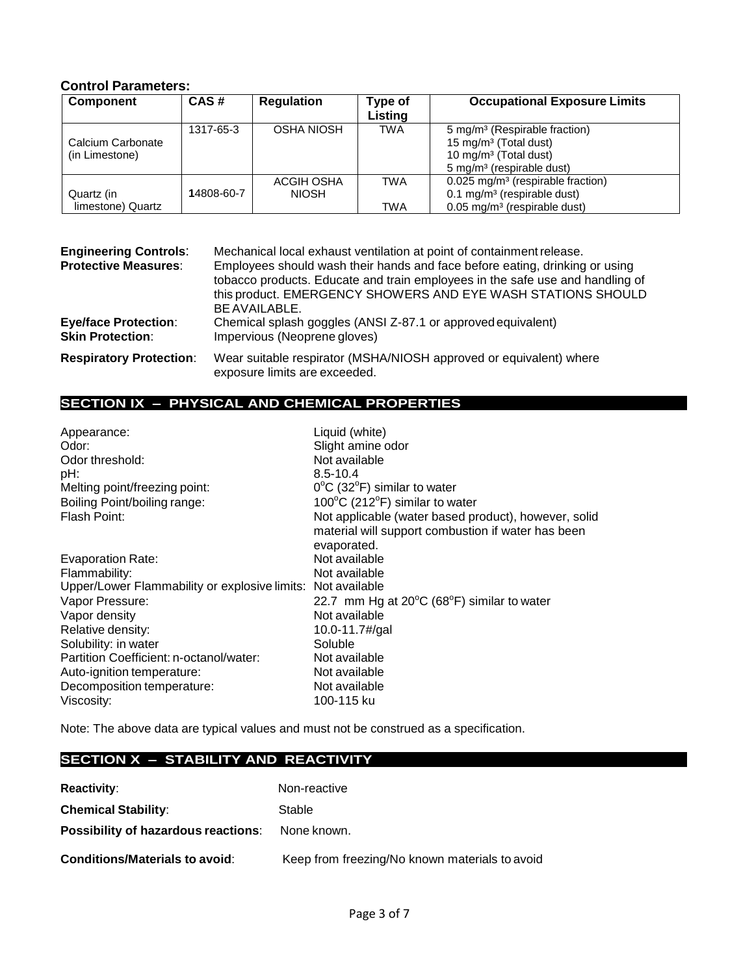# **Control Parameters:**

| <b>Component</b>  | CAS#       | <b>Regulation</b> | Type of    | <b>Occupational Exposure Limits</b>             |
|-------------------|------------|-------------------|------------|-------------------------------------------------|
|                   |            |                   | Listing    |                                                 |
|                   | 1317-65-3  | OSHA NIOSH        | TWA        | 5 mg/m <sup>3</sup> (Respirable fraction)       |
| Calcium Carbonate |            |                   |            | 15 mg/m <sup>3</sup> (Total dust)               |
| (in Limestone)    |            |                   |            | 10 mg/m <sup>3</sup> (Total dust)               |
|                   |            |                   |            | 5 mg/m <sup>3</sup> (respirable dust)           |
|                   |            | ACGIH OSHA        | <b>TWA</b> | $0.025$ mg/m <sup>3</sup> (respirable fraction) |
| Quartz (in        | 14808-60-7 | <b>NIOSH</b>      |            | $0.1 \text{ mg/m}^3$ (respirable dust)          |
| limestone) Quartz |            |                   | TWA        | $0.05$ mg/m <sup>3</sup> (respirable dust)      |

| <b>Engineering Controls:</b><br><b>Protective Measures:</b> | Mechanical local exhaust ventilation at point of containment release.<br>Employees should wash their hands and face before eating, drinking or using<br>tobacco products. Educate and train employees in the safe use and handling of<br>this product. EMERGENCY SHOWERS AND EYE WASH STATIONS SHOULD<br>BE AVAILABLE. |  |
|-------------------------------------------------------------|------------------------------------------------------------------------------------------------------------------------------------------------------------------------------------------------------------------------------------------------------------------------------------------------------------------------|--|
| <b>Eye/face Protection:</b><br><b>Skin Protection:</b>      | Chemical splash goggles (ANSI Z-87.1 or approved equivalent)<br>Impervious (Neoprene gloves)                                                                                                                                                                                                                           |  |
| <b>Respiratory Protection:</b>                              | Wear suitable respirator (MSHA/NIOSH approved or equivalent) where<br>exposure limits are exceeded.                                                                                                                                                                                                                    |  |

# **SECTION IX – PHYSICAL AND CHEMICAL PROPERTIES**

| Appearance:                                                 | Liquid (white)                                                                                             |
|-------------------------------------------------------------|------------------------------------------------------------------------------------------------------------|
| Odor:                                                       | Slight amine odor                                                                                          |
| Odor threshold:                                             | Not available                                                                                              |
| pH:                                                         | $8.5 - 10.4$                                                                                               |
| Melting point/freezing point:                               | $0^{\circ}$ C (32 $^{\circ}$ F) similar to water                                                           |
| Boiling Point/boiling range:                                | 100 $\mathrm{^{\circ}C}$ (212 $\mathrm{^{\circ}F}$ ) similar to water                                      |
| Flash Point:                                                | Not applicable (water based product), however, solid<br>material will support combustion if water has been |
|                                                             | evaporated.                                                                                                |
| <b>Evaporation Rate:</b>                                    | Not available                                                                                              |
| Flammability:                                               | Not available                                                                                              |
| Upper/Lower Flammability or explosive limits: Not available |                                                                                                            |
| Vapor Pressure:                                             | 22.7 mm Hg at $20^{\circ}$ C (68 $^{\circ}$ F) similar to water                                            |
| Vapor density                                               | Not available                                                                                              |
| Relative density:                                           | 10.0-11.7#/gal                                                                                             |
| Solubility: in water                                        | Soluble                                                                                                    |
| Partition Coefficient: n-octanol/water:                     | Not available                                                                                              |
| Auto-ignition temperature:                                  | Not available                                                                                              |
| Decomposition temperature:                                  | Not available                                                                                              |
| Viscosity:                                                  | 100-115 ku                                                                                                 |

Note: The above data are typical values and must not be construed as a specification.

# **SECTION X – STABILITY AND REACTIVITY**

| <b>Reactivity:</b>                         | Non-reactive                                   |
|--------------------------------------------|------------------------------------------------|
| <b>Chemical Stability:</b>                 | Stable                                         |
| <b>Possibility of hazardous reactions:</b> | None known.                                    |
| <b>Conditions/Materials to avoid:</b>      | Keep from freezing/No known materials to avoid |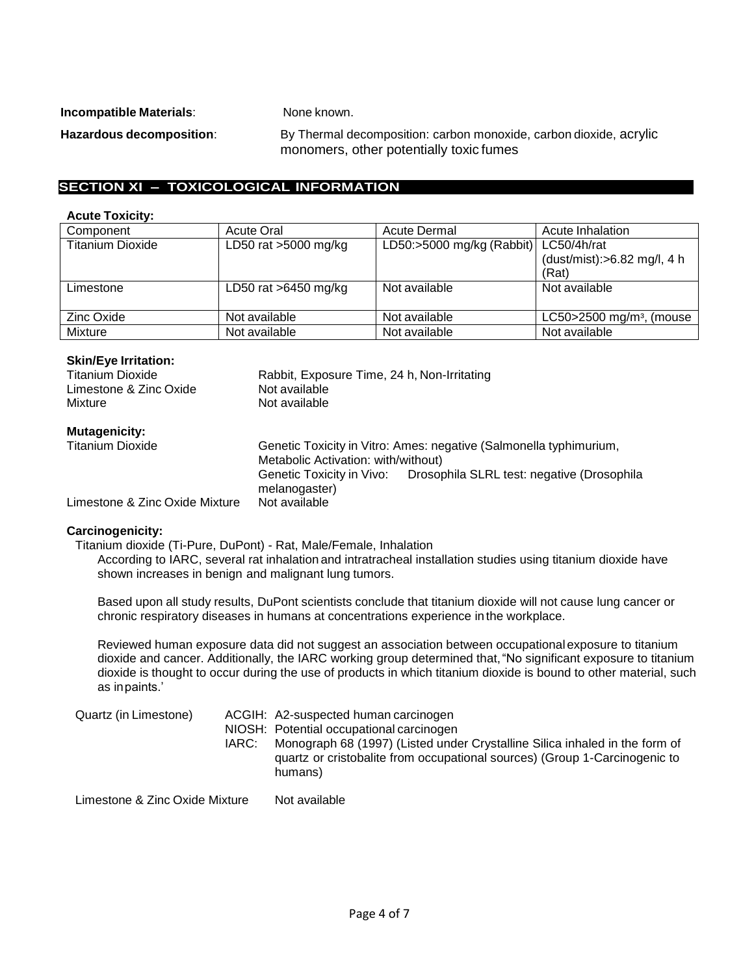**Incompatible Materials:** None known.

Hazardous decomposition: By Thermal decomposition: carbon monoxide, carbon dioxide, acrylic monomers, other potentially toxic fumes

# **SECTION XI – TOXICOLOGICAL INFORMATION**

#### **Acute Toxicity:**

| Component               | <b>Acute Oral</b>      | <b>Acute Dermal</b>                   | Acute Inhalation                         |
|-------------------------|------------------------|---------------------------------------|------------------------------------------|
| <b>Titanium Dioxide</b> | LD50 rat $>5000$ mg/kg | LD50:>5000 mg/kg (Rabbit) LC50/4h/rat |                                          |
|                         |                        |                                       | (dust/mist): $>6.82$ mg/l, 4 h           |
|                         |                        |                                       | (Rat)                                    |
| Limestone               | LD50 rat $>6450$ mg/kg | Not available                         | Not available                            |
|                         |                        |                                       |                                          |
| Zinc Oxide              | Not available          | Not available                         | LC50 $>$ 2500 mg/m <sup>3</sup> , (mouse |
| Mixture                 | Not available          | Not available                         | Not available                            |

#### **Skin/Eye Irritation:**

| Titanium Dioxide<br>Limestone & Zinc Oxide<br>Mixture | Rabbit, Exposure Time, 24 h, Non-Irritating<br>Not available<br>Not available                             |
|-------------------------------------------------------|-----------------------------------------------------------------------------------------------------------|
| <b>Mutagenicity:</b><br><b>Titanium Dioxide</b>       | Genetic Toxicity in Vitro: Ames: negative (Salmonella typhimurium,<br>Metabolic Activation: with/without) |
|                                                       |                                                                                                           |
| Limestone & Zinc Oxide Mixture                        | Genetic Toxicity in Vivo: Drosophila SLRL test: negative (Drosophila<br>melanogaster)<br>Not available    |
|                                                       |                                                                                                           |

#### **Carcinogenicity:**

Titanium dioxide (Ti-Pure, DuPont) - Rat, Male/Female, Inhalation According to IARC, several rat inhalation and intratracheal installation studies using titanium dioxide have shown increases in benign and malignant lung tumors.

Based upon all study results, DuPont scientists conclude that titanium dioxide will not cause lung cancer or chronic respiratory diseases in humans at concentrations experience in the workplace.

Reviewed human exposure data did not suggest an association between occupational exposure to titanium dioxide and cancer. Additionally, the IARC working group determined that,"No significant exposure to titanium dioxide is thought to occur during the use of products in which titanium dioxide is bound to other material, such as inpaints.'

| Quartz (in Limestone)<br>IARC: | ACGIH: A2-suspected human carcinogen<br>NIOSH: Potential occupational carcinogen<br>Monograph 68 (1997) (Listed under Crystalline Silica inhaled in the form of<br>quartz or cristobalite from occupational sources) (Group 1-Carcinogenic to<br>humans) |
|--------------------------------|----------------------------------------------------------------------------------------------------------------------------------------------------------------------------------------------------------------------------------------------------------|
| Limestone & Zinc Oxide Mixture | Not available                                                                                                                                                                                                                                            |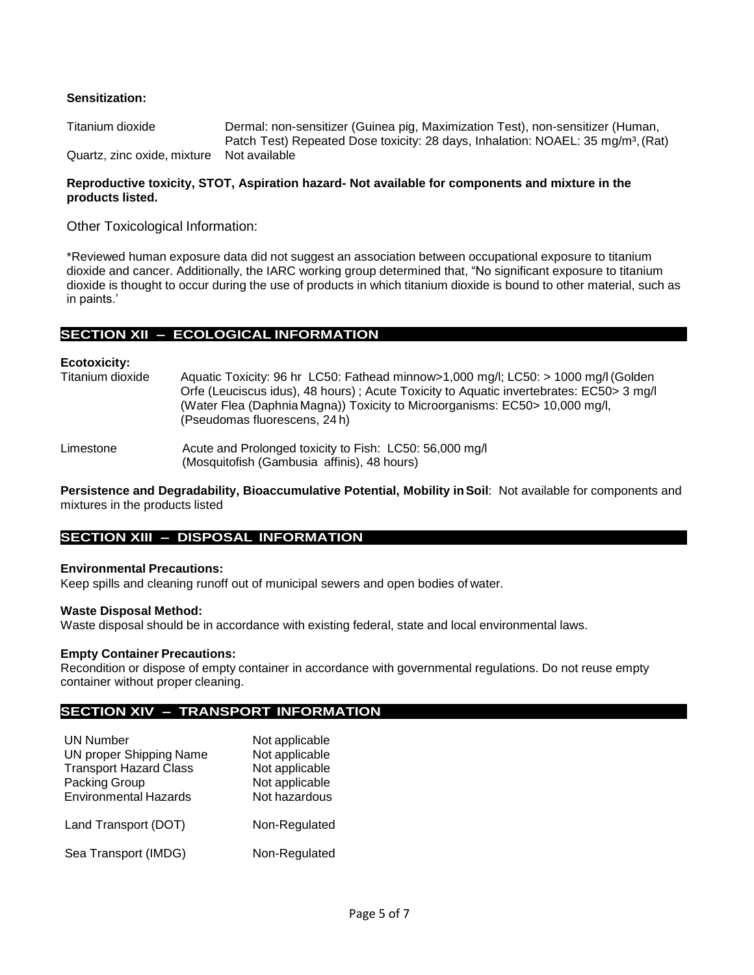#### **Sensitization:**

| Titanium dioxide                          | Dermal: non-sensitizer (Guinea pig, Maximization Test), non-sensitizer (Human,               |
|-------------------------------------------|----------------------------------------------------------------------------------------------|
|                                           | Patch Test) Repeated Dose toxicity: 28 days, Inhalation: NOAEL: 35 mg/m <sup>3</sup> , (Rat) |
| Quartz, zinc oxide, mixture Not available |                                                                                              |

#### **Reproductive toxicity, STOT, Aspiration hazard- Not available for components and mixture in the products listed.**

Other Toxicological Information:

\*Reviewed human exposure data did not suggest an association between occupational exposure to titanium dioxide and cancer. Additionally, the IARC working group determined that, "No significant exposure to titanium dioxide is thought to occur during the use of products in which titanium dioxide is bound to other material, such as in paints.'

#### **SECTION XII – ECOLOGICAL INFORMATION**

**Ecotoxicity:** Aquatic Toxicity: 96 hr LC50: Fathead minnow>1,000 mg/l; LC50: > 1000 mg/l (Golden Orfe (Leuciscus idus), 48 hours) ; Acute Toxicity to Aquatic invertebrates: EC50> 3 mg/l (Water Flea (Daphnia Magna)) Toxicity to Microorganisms: EC50> 10,000 mg/l, (Pseudomas fluorescens, 24 h)

Limestone **Acute and Prolonged toxicity to Fish: LC50: 56,000 mg/l** (Mosquitofish (Gambusia affinis), 48 hours)

**Persistence and Degradability, Bioaccumulative Potential, Mobility in Soil: Not available for components and** mixtures in the products listed

#### **SECTION XIII – DISPOSAL INFORMATION**

#### **Environmental Precautions:**

Keep spills and cleaning runoff out of municipal sewers and open bodies of water.

#### **Waste Disposal Method:**

Waste disposal should be in accordance with existing federal, state and local environmental laws.

#### **Empty Container Precautions:**

Recondition or dispose of empty container in accordance with governmental regulations. Do not reuse empty container without proper cleaning.

#### **SECTION XIV – TRANSPORT INFORMATION**

| <b>UN Number</b><br><b>UN proper Shipping Name</b><br><b>Transport Hazard Class</b><br>Packing Group<br><b>Environmental Hazards</b> | Not applicable<br>Not applicable<br>Not applicable<br>Not applicable<br>Not hazardous |
|--------------------------------------------------------------------------------------------------------------------------------------|---------------------------------------------------------------------------------------|
| Land Transport (DOT)                                                                                                                 | Non-Regulated                                                                         |
| Sea Transport (IMDG)                                                                                                                 | Non-Regulated                                                                         |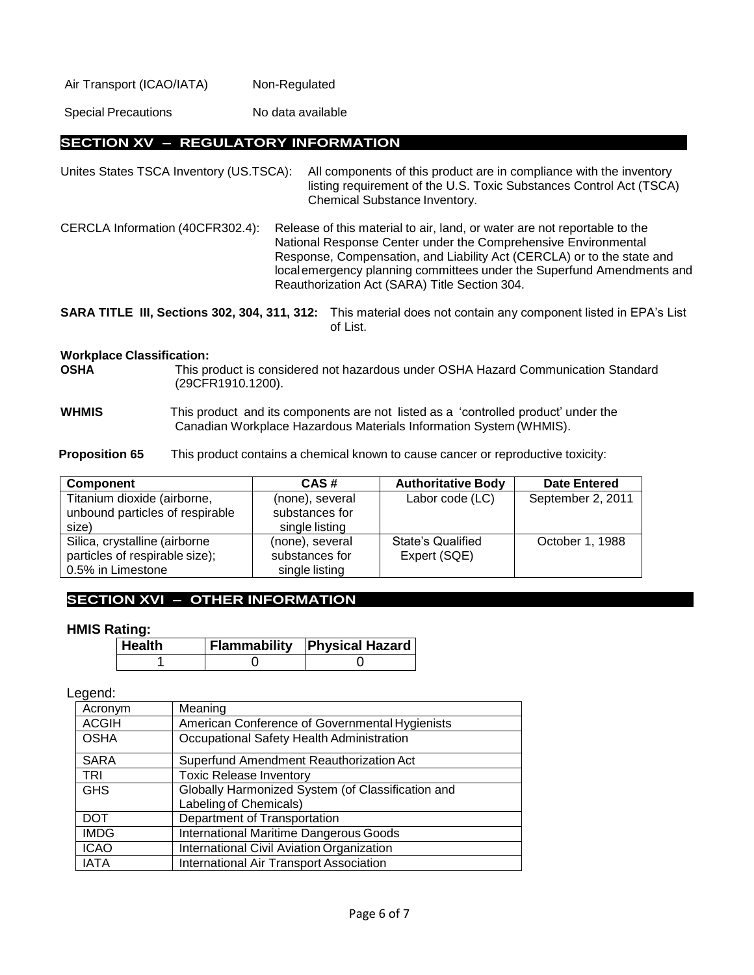| Air Transport (ICAO/IATA) | Non-Regulated |
|---------------------------|---------------|
|---------------------------|---------------|

Special Precautions No data available

#### **SECTION XV – REGULATORY INFORMATION**

Unites States TSCA Inventory (US.TSCA): All components of this product are in compliance with the inventory listing requirement of the U.S. Toxic Substances Control Act (TSCA) Chemical Substance Inventory.

CERCLA Information (40CFR302.4): Release of this material to air, land, or water are not reportable to the National Response Center under the Comprehensive Environmental Response, Compensation, and Liability Act (CERCLA) or to the state and localemergency planning committees under the Superfund Amendments and Reauthorization Act (SARA) Title Section 304.

**SARA TITLE III, Sections 302, 304, 311, 312:** This material does not contain any component listed in EPA's List of List.

# **Workplace Classification:**

**OSHA** This product is considered not hazardous under OSHA Hazard Communication Standard (29CFR1910.1200).

**WHMIS** This product and its components are not listed as a 'controlled product' under the Canadian Workplace Hazardous Materials Information System (WHMIS).

**Proposition 65** This product contains a chemical known to cause cancer or reproductive toxicity:

| Component                       | CAS#            | <b>Authoritative Body</b> | <b>Date Entered</b> |
|---------------------------------|-----------------|---------------------------|---------------------|
| Titanium dioxide (airborne,     | (none), several | Labor code (LC)           | September 2, 2011   |
| unbound particles of respirable | substances for  |                           |                     |
| size)                           | single listing  |                           |                     |
| Silica, crystalline (airborne   | (none), several | <b>State's Qualified</b>  | October 1, 1988     |
| particles of respirable size);  | substances for  | Expert (SQE)              |                     |
| 0.5% in Limestone               | single listing  |                           |                     |

#### **SECTION XVI – OTHER INFORMATION**

#### **HMIS Rating:**

| <b>∣Health</b> | <b>Flammability Physical Hazard</b> |
|----------------|-------------------------------------|
|                |                                     |

#### Legend:

| Acronym      | Meaning                                           |
|--------------|---------------------------------------------------|
| <b>ACGIH</b> | American Conference of Governmental Hygienists    |
| <b>OSHA</b>  | Occupational Safety Health Administration         |
| <b>SARA</b>  | Superfund Amendment Reauthorization Act           |
| <b>TRI</b>   | <b>Toxic Release Inventory</b>                    |
| <b>GHS</b>   | Globally Harmonized System (of Classification and |
|              | Labeling of Chemicals)                            |
| <b>DOT</b>   | <b>Department of Transportation</b>               |
| <b>IMDG</b>  | International Maritime Dangerous Goods            |
| <b>ICAO</b>  | International Civil Aviation Organization         |
| <b>IATA</b>  | <b>International Air Transport Association</b>    |